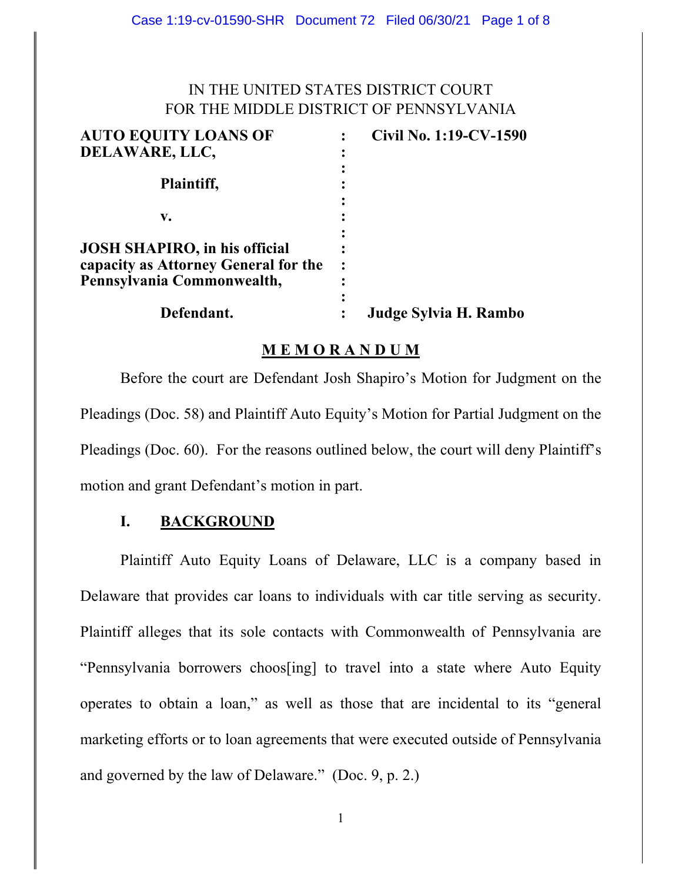# IN THE UNITED STATES DISTRICT COURT FOR THE MIDDLE DISTRICT OF PENNSYLVANIA

| <b>AUTO EQUITY LOANS OF</b>                                                                                | Civil No. 1:19-CV-1590 |
|------------------------------------------------------------------------------------------------------------|------------------------|
| DELAWARE, LLC,                                                                                             |                        |
| Plaintiff,                                                                                                 |                        |
| v.                                                                                                         |                        |
| <b>JOSH SHAPIRO, in his official</b><br>capacity as Attorney General for the<br>Pennsylvania Commonwealth, |                        |
| Defendant.                                                                                                 | Judge Sylvia H. Rambo  |

### **M E M O R A N D U M**

Before the court are Defendant Josh Shapiro's Motion for Judgment on the Pleadings (Doc. 58) and Plaintiff Auto Equity's Motion for Partial Judgment on the Pleadings (Doc. 60). For the reasons outlined below, the court will deny Plaintiff's motion and grant Defendant's motion in part.

## **I. BACKGROUND**

Plaintiff Auto Equity Loans of Delaware, LLC is a company based in Delaware that provides car loans to individuals with car title serving as security. Plaintiff alleges that its sole contacts with Commonwealth of Pennsylvania are "Pennsylvania borrowers choos[ing] to travel into a state where Auto Equity operates to obtain a loan," as well as those that are incidental to its "general marketing efforts or to loan agreements that were executed outside of Pennsylvania and governed by the law of Delaware." (Doc. 9, p. 2.)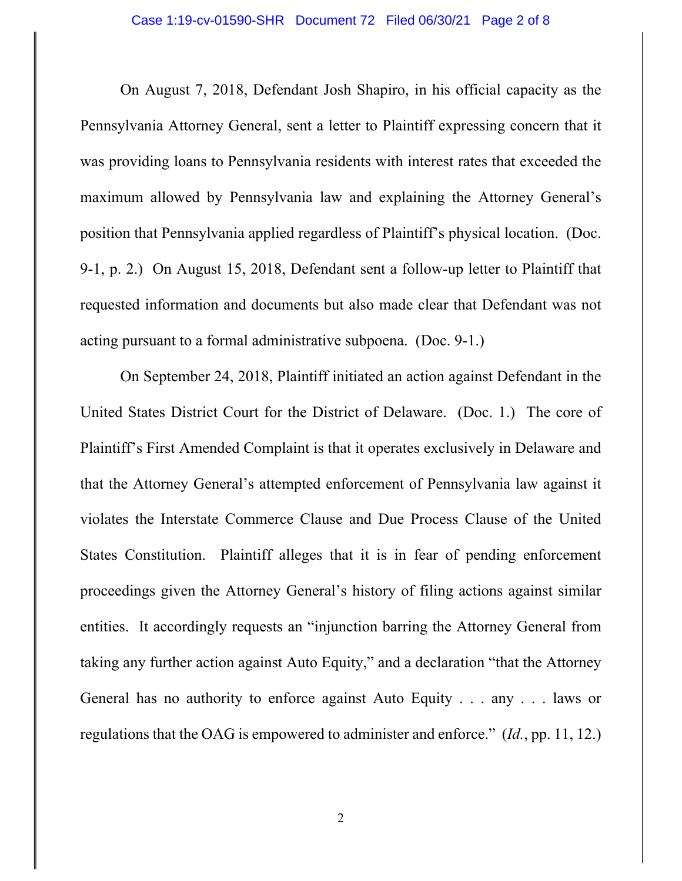On August 7, 2018, Defendant Josh Shapiro, in his official capacity as the Pennsylvania Attorney General, sent a letter to Plaintiff expressing concern that it was providing loans to Pennsylvania residents with interest rates that exceeded the maximum allowed by Pennsylvania law and explaining the Attorney General's position that Pennsylvania applied regardless of Plaintiff's physical location. (Doc. 9-1, p. 2.) On August 15, 2018, Defendant sent a follow-up letter to Plaintiff that requested information and documents but also made clear that Defendant was not acting pursuant to a formal administrative subpoena. (Doc. 9-1.)

 On September 24, 2018, Plaintiff initiated an action against Defendant in the United States District Court for the District of Delaware. (Doc. 1.) The core of Plaintiff's First Amended Complaint is that it operates exclusively in Delaware and that the Attorney General's attempted enforcement of Pennsylvania law against it violates the Interstate Commerce Clause and Due Process Clause of the United States Constitution. Plaintiff alleges that it is in fear of pending enforcement proceedings given the Attorney General's history of filing actions against similar entities. It accordingly requests an "injunction barring the Attorney General from taking any further action against Auto Equity," and a declaration "that the Attorney General has no authority to enforce against Auto Equity . . . any . . . laws or regulations that the OAG is empowered to administer and enforce." (*Id.*, pp. 11, 12.)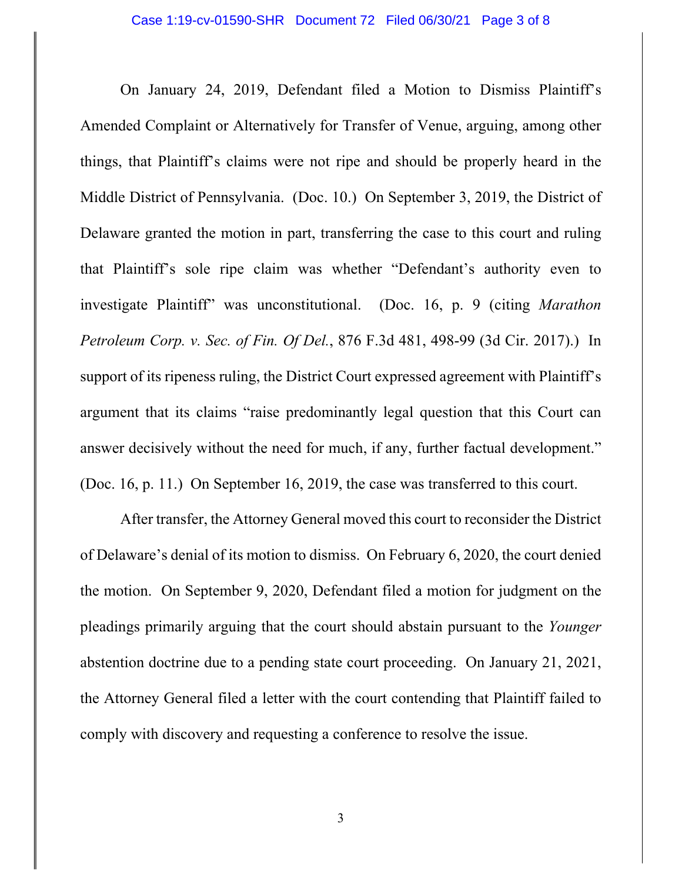On January 24, 2019, Defendant filed a Motion to Dismiss Plaintiff's Amended Complaint or Alternatively for Transfer of Venue, arguing, among other things, that Plaintiff's claims were not ripe and should be properly heard in the Middle District of Pennsylvania. (Doc. 10.) On September 3, 2019, the District of Delaware granted the motion in part, transferring the case to this court and ruling that Plaintiff's sole ripe claim was whether "Defendant's authority even to investigate Plaintiff" was unconstitutional. (Doc. 16, p. 9 (citing *Marathon Petroleum Corp. v. Sec. of Fin. Of Del.*, 876 F.3d 481, 498-99 (3d Cir. 2017).) In support of its ripeness ruling, the District Court expressed agreement with Plaintiff's argument that its claims "raise predominantly legal question that this Court can answer decisively without the need for much, if any, further factual development." (Doc. 16, p. 11.) On September 16, 2019, the case was transferred to this court.

 After transfer, the Attorney General moved this court to reconsider the District of Delaware's denial of its motion to dismiss. On February 6, 2020, the court denied the motion. On September 9, 2020, Defendant filed a motion for judgment on the pleadings primarily arguing that the court should abstain pursuant to the *Younger* abstention doctrine due to a pending state court proceeding. On January 21, 2021, the Attorney General filed a letter with the court contending that Plaintiff failed to comply with discovery and requesting a conference to resolve the issue.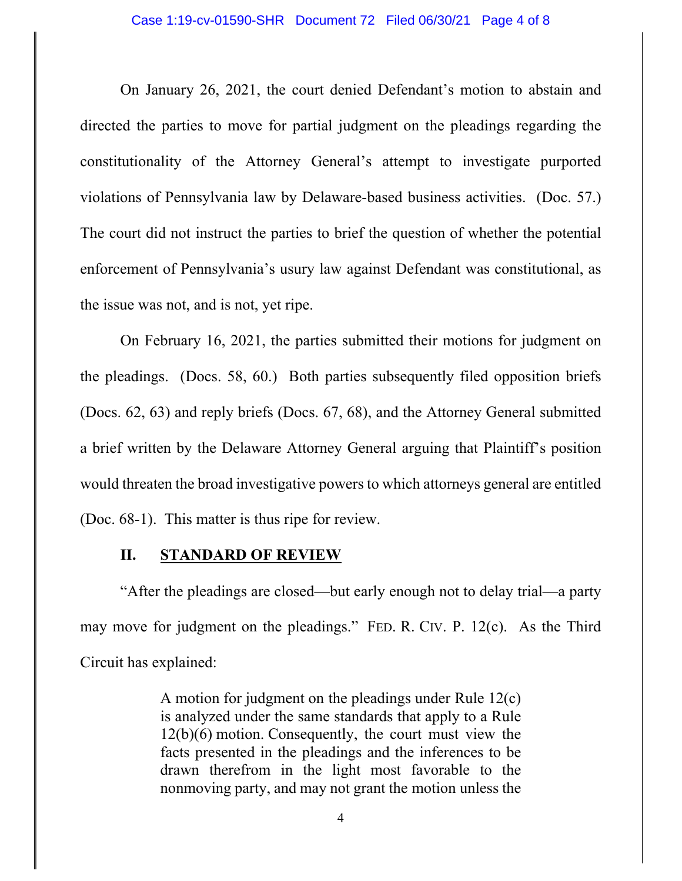On January 26, 2021, the court denied Defendant's motion to abstain and directed the parties to move for partial judgment on the pleadings regarding the constitutionality of the Attorney General's attempt to investigate purported violations of Pennsylvania law by Delaware-based business activities. (Doc. 57.) The court did not instruct the parties to brief the question of whether the potential enforcement of Pennsylvania's usury law against Defendant was constitutional, as the issue was not, and is not, yet ripe.

 On February 16, 2021, the parties submitted their motions for judgment on the pleadings. (Docs. 58, 60.) Both parties subsequently filed opposition briefs (Docs. 62, 63) and reply briefs (Docs. 67, 68), and the Attorney General submitted a brief written by the Delaware Attorney General arguing that Plaintiff's position would threaten the broad investigative powers to which attorneys general are entitled (Doc. 68-1). This matter is thus ripe for review.

#### **II. STANDARD OF REVIEW**

"After the pleadings are closed—but early enough not to delay trial—a party may move for judgment on the pleadings." FED. R. CIV. P. 12(c). As the Third Circuit has explained:

> A motion for judgment on the pleadings under Rule 12(c) is analyzed under the same standards that apply to a Rule 12(b)(6) motion. Consequently, the court must view the facts presented in the pleadings and the inferences to be drawn therefrom in the light most favorable to the nonmoving party, and may not grant the motion unless the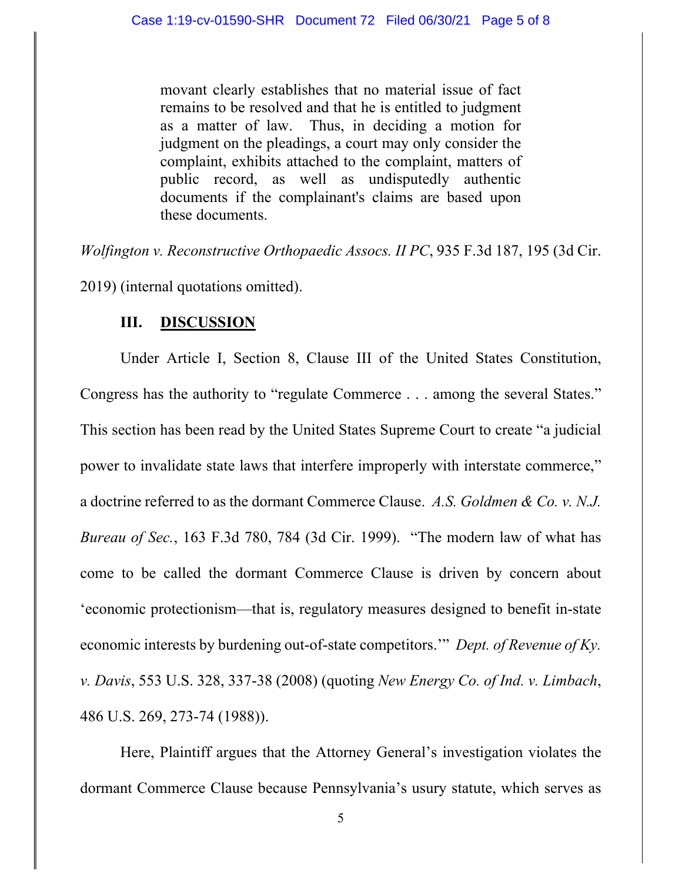movant clearly establishes that no material issue of fact remains to be resolved and that he is entitled to judgment as a matter of law. Thus, in deciding a motion for judgment on the pleadings, a court may only consider the complaint, exhibits attached to the complaint, matters of public record, as well as undisputedly authentic documents if the complainant's claims are based upon these documents.

*Wolfington v. Reconstructive Orthopaedic Assocs. II PC*, 935 F.3d 187, 195 (3d Cir.

2019) (internal quotations omitted).

### **III. DISCUSSION**

Under Article I, Section 8, Clause III of the United States Constitution, Congress has the authority to "regulate Commerce . . . among the several States." This section has been read by the United States Supreme Court to create "a judicial power to invalidate state laws that interfere improperly with interstate commerce," a doctrine referred to as the dormant Commerce Clause. *A.S. Goldmen & Co. v. N.J. Bureau of Sec.*, 163 F.3d 780, 784 (3d Cir. 1999). "The modern law of what has come to be called the dormant Commerce Clause is driven by concern about 'economic protectionism—that is, regulatory measures designed to benefit in-state economic interests by burdening out-of-state competitors.'" *Dept. of Revenue of Ky. v. Davis*, 553 U.S. 328, 337-38 (2008) (quoting *New Energy Co. of Ind. v. Limbach*, 486 U.S. 269, 273-74 (1988)).

Here, Plaintiff argues that the Attorney General's investigation violates the dormant Commerce Clause because Pennsylvania's usury statute, which serves as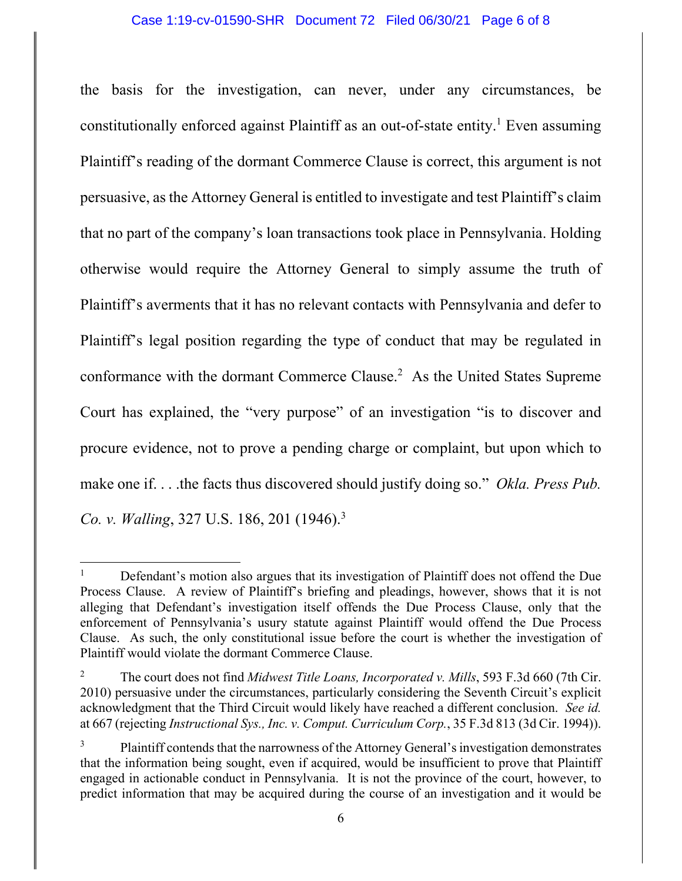the basis for the investigation, can never, under any circumstances, be constitutionally enforced against Plaintiff as an out-of-state entity.<sup>1</sup> Even assuming Plaintiff's reading of the dormant Commerce Clause is correct, this argument is not persuasive, as the Attorney General is entitled to investigate and test Plaintiff's claim that no part of the company's loan transactions took place in Pennsylvania. Holding otherwise would require the Attorney General to simply assume the truth of Plaintiff's averments that it has no relevant contacts with Pennsylvania and defer to Plaintiff's legal position regarding the type of conduct that may be regulated in conformance with the dormant Commerce Clause.<sup>2</sup> As the United States Supreme Court has explained, the "very purpose" of an investigation "is to discover and procure evidence, not to prove a pending charge or complaint, but upon which to make one if. . . .the facts thus discovered should justify doing so." *Okla. Press Pub. Co. v. Walling*, 327 U.S. 186, 201 (1946).3

<sup>1</sup> Defendant's motion also argues that its investigation of Plaintiff does not offend the Due Process Clause. A review of Plaintiff's briefing and pleadings, however, shows that it is not alleging that Defendant's investigation itself offends the Due Process Clause, only that the enforcement of Pennsylvania's usury statute against Plaintiff would offend the Due Process Clause. As such, the only constitutional issue before the court is whether the investigation of Plaintiff would violate the dormant Commerce Clause.

<sup>2</sup> The court does not find *Midwest Title Loans, Incorporated v. Mills*, 593 F.3d 660 (7th Cir. 2010) persuasive under the circumstances, particularly considering the Seventh Circuit's explicit acknowledgment that the Third Circuit would likely have reached a different conclusion. *See id.* at 667 (rejecting *Instructional Sys., Inc. v. Comput. Curriculum Corp.*, 35 F.3d 813 (3d Cir. 1994)).

<sup>3</sup> Plaintiff contends that the narrowness of the Attorney General's investigation demonstrates that the information being sought, even if acquired, would be insufficient to prove that Plaintiff engaged in actionable conduct in Pennsylvania. It is not the province of the court, however, to predict information that may be acquired during the course of an investigation and it would be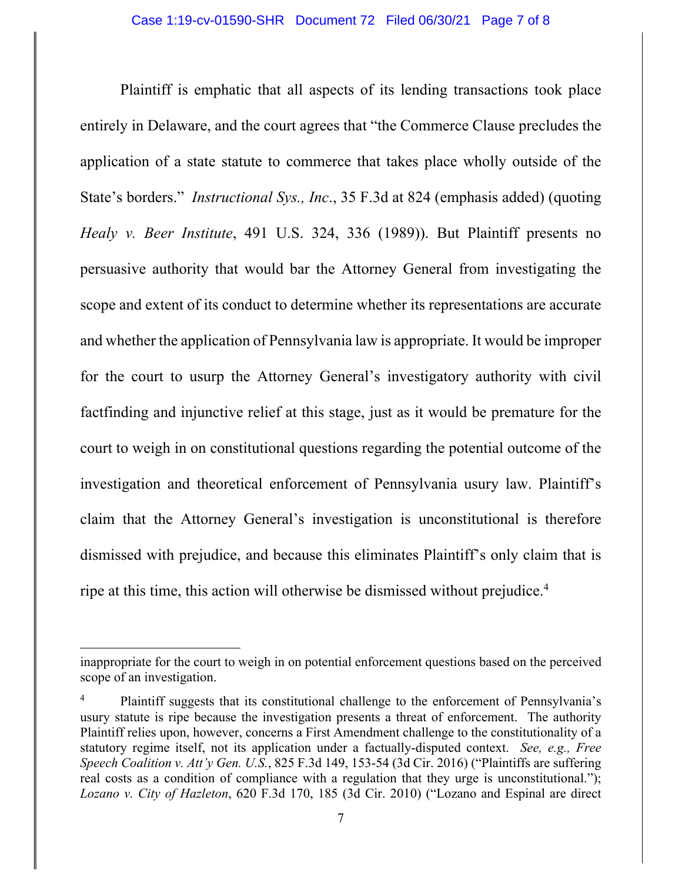Plaintiff is emphatic that all aspects of its lending transactions took place entirely in Delaware, and the court agrees that "the Commerce Clause precludes the application of a state statute to commerce that takes place wholly outside of the State's borders." *Instructional Sys., Inc*., 35 F.3d at 824 (emphasis added) (quoting *Healy v. Beer Institute*, 491 U.S. 324, 336 (1989)). But Plaintiff presents no persuasive authority that would bar the Attorney General from investigating the scope and extent of its conduct to determine whether its representations are accurate and whether the application of Pennsylvania law is appropriate. It would be improper for the court to usurp the Attorney General's investigatory authority with civil factfinding and injunctive relief at this stage, just as it would be premature for the court to weigh in on constitutional questions regarding the potential outcome of the investigation and theoretical enforcement of Pennsylvania usury law. Plaintiff's claim that the Attorney General's investigation is unconstitutional is therefore dismissed with prejudice, and because this eliminates Plaintiff's only claim that is ripe at this time, this action will otherwise be dismissed without prejudice.4

inappropriate for the court to weigh in on potential enforcement questions based on the perceived scope of an investigation.

<sup>4</sup> Plaintiff suggests that its constitutional challenge to the enforcement of Pennsylvania's usury statute is ripe because the investigation presents a threat of enforcement. The authority Plaintiff relies upon, however, concerns a First Amendment challenge to the constitutionality of a statutory regime itself, not its application under a factually-disputed context. *See, e.g., Free Speech Coalition v. Att'y Gen. U.S.*, 825 F.3d 149, 153-54 (3d Cir. 2016) ("Plaintiffs are suffering real costs as a condition of compliance with a regulation that they urge is unconstitutional."); *Lozano v. City of Hazleton*, 620 F.3d 170, 185 (3d Cir. 2010) ("Lozano and Espinal are direct